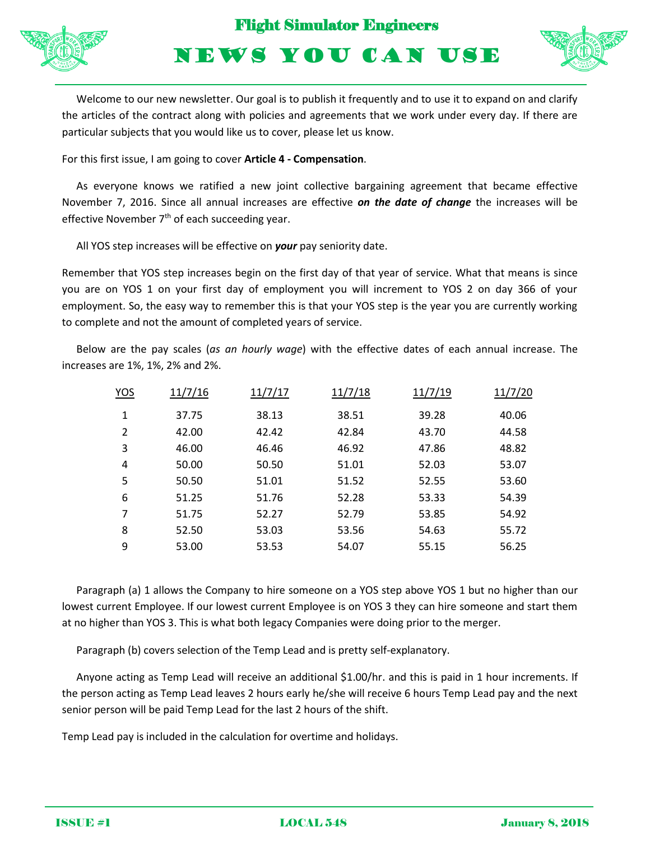



NEWS YOU CAN USE

Welcome to our new newsletter. Our goal is to publish it frequently and to use it to expand on and clarify the articles of the contract along with policies and agreements that we work under every day. If there are particular subjects that you would like us to cover, please let us know.

For this first issue, I am going to cover **Article 4 - Compensation**.

As everyone knows we ratified a new joint collective bargaining agreement that became effective November 7, 2016. Since all annual increases are effective *on the date of change* the increases will be effective November 7<sup>th</sup> of each succeeding year.

All YOS step increases will be effective on *your* pay seniority date.

Remember that YOS step increases begin on the first day of that year of service. What that means is since you are on YOS 1 on your first day of employment you will increment to YOS 2 on day 366 of your employment. So, the easy way to remember this is that your YOS step is the year you are currently working to complete and not the amount of completed years of service.

Below are the pay scales (*as an hourly wage*) with the effective dates of each annual increase. The increases are 1%, 1%, 2% and 2%.

| YOS            | 11/7/16 | 11/7/17 | 11/7/18 | 11/7/19 | 11/7/20 |
|----------------|---------|---------|---------|---------|---------|
| 1              | 37.75   | 38.13   | 38.51   | 39.28   | 40.06   |
| $\overline{2}$ | 42.00   | 42.42   | 42.84   | 43.70   | 44.58   |
| 3              | 46.00   | 46.46   | 46.92   | 47.86   | 48.82   |
| 4              | 50.00   | 50.50   | 51.01   | 52.03   | 53.07   |
| 5              | 50.50   | 51.01   | 51.52   | 52.55   | 53.60   |
| 6              | 51.25   | 51.76   | 52.28   | 53.33   | 54.39   |
| 7              | 51.75   | 52.27   | 52.79   | 53.85   | 54.92   |
| 8              | 52.50   | 53.03   | 53.56   | 54.63   | 55.72   |
| 9              | 53.00   | 53.53   | 54.07   | 55.15   | 56.25   |
|                |         |         |         |         |         |

Paragraph (a) 1 allows the Company to hire someone on a YOS step above YOS 1 but no higher than our lowest current Employee. If our lowest current Employee is on YOS 3 they can hire someone and start them at no higher than YOS 3. This is what both legacy Companies were doing prior to the merger.

Paragraph (b) covers selection of the Temp Lead and is pretty self-explanatory.

Anyone acting as Temp Lead will receive an additional \$1.00/hr. and this is paid in 1 hour increments. If the person acting as Temp Lead leaves 2 hours early he/she will receive 6 hours Temp Lead pay and the next senior person will be paid Temp Lead for the last 2 hours of the shift.

Temp Lead pay is included in the calculation for overtime and holidays.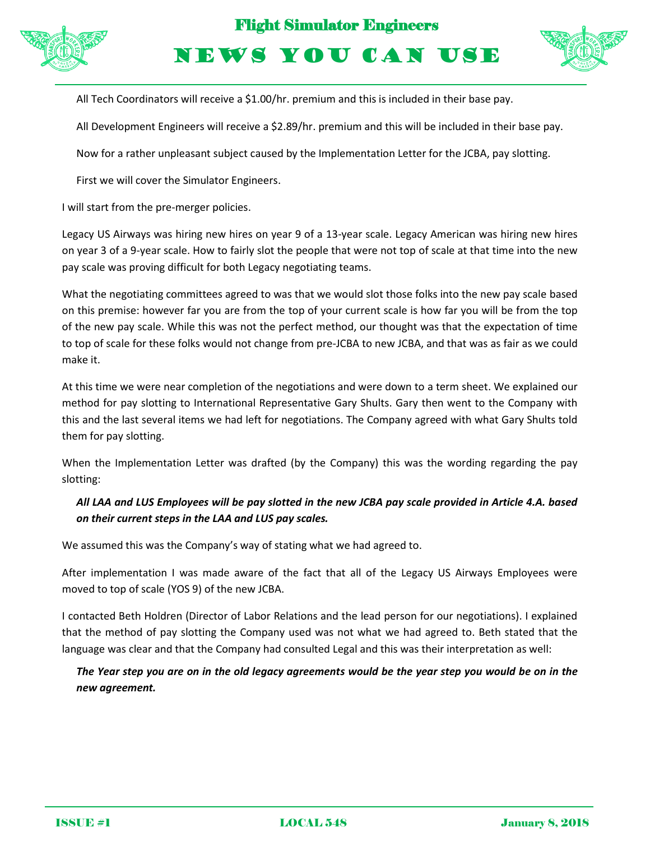

Flight Simulator Engineers

NEWS YOU CAN USE



All Tech Coordinators will receive a \$1.00/hr. premium and this is included in their base pay.

All Development Engineers will receive a \$2.89/hr. premium and this will be included in their base pay.

Now for a rather unpleasant subject caused by the Implementation Letter for the JCBA, pay slotting.

First we will cover the Simulator Engineers.

I will start from the pre-merger policies.

Legacy US Airways was hiring new hires on year 9 of a 13-year scale. Legacy American was hiring new hires on year 3 of a 9-year scale. How to fairly slot the people that were not top of scale at that time into the new pay scale was proving difficult for both Legacy negotiating teams.

What the negotiating committees agreed to was that we would slot those folks into the new pay scale based on this premise: however far you are from the top of your current scale is how far you will be from the top of the new pay scale. While this was not the perfect method, our thought was that the expectation of time to top of scale for these folks would not change from pre-JCBA to new JCBA, and that was as fair as we could make it.

At this time we were near completion of the negotiations and were down to a term sheet. We explained our method for pay slotting to International Representative Gary Shults. Gary then went to the Company with this and the last several items we had left for negotiations. The Company agreed with what Gary Shults told them for pay slotting.

When the Implementation Letter was drafted (by the Company) this was the wording regarding the pay slotting:

## *All LAA and LUS Employees will be pay slotted in the new JCBA pay scale provided in Article 4.A. based on their current steps in the LAA and LUS pay scales.*

We assumed this was the Company's way of stating what we had agreed to.

After implementation I was made aware of the fact that all of the Legacy US Airways Employees were moved to top of scale (YOS 9) of the new JCBA.

I contacted Beth Holdren (Director of Labor Relations and the lead person for our negotiations). I explained that the method of pay slotting the Company used was not what we had agreed to. Beth stated that the language was clear and that the Company had consulted Legal and this was their interpretation as well:

*The Year step you are on in the old legacy agreements would be the year step you would be on in the new agreement.*